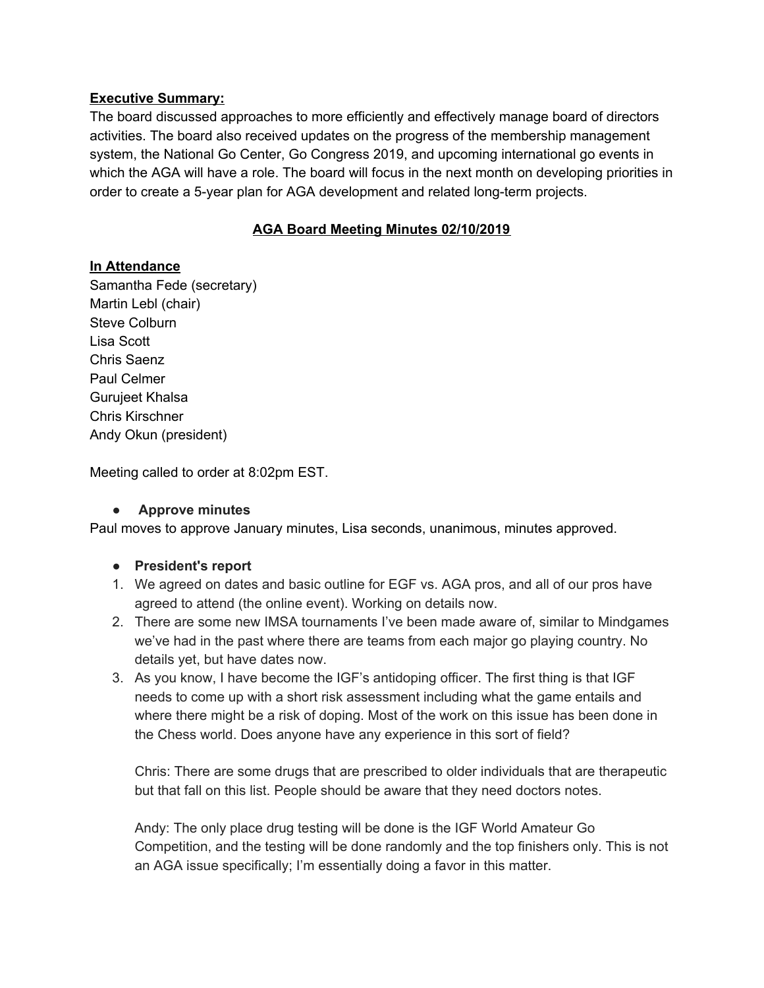### **Executive Summary:**

The board discussed approaches to more efficiently and effectively manage board of directors activities. The board also received updates on the progress of the membership management system, the National Go Center, Go Congress 2019, and upcoming international go events in which the AGA will have a role. The board will focus in the next month on developing priorities in order to create a 5-year plan for AGA development and related long-term projects.

# **AGA Board Meeting Minutes 02/10/2019**

## **In Attendance**

Samantha Fede (secretary) Martin Lebl (chair) Steve Colburn Lisa Scott Chris Saenz Paul Celmer Gurujeet Khalsa Chris Kirschner Andy Okun (president)

Meeting called to order at 8:02pm EST.

## **● Approve minutes**

Paul moves to approve January minutes, Lisa seconds, unanimous, minutes approved.

#### **● President's report**

- 1. We agreed on dates and basic outline for EGF vs. AGA pros, and all of our pros have agreed to attend (the online event). Working on details now.
- 2. There are some new IMSA tournaments I've been made aware of, similar to Mindgames we've had in the past where there are teams from each major go playing country. No details yet, but have dates now.
- 3. As you know, I have become the IGF's antidoping officer. The first thing is that IGF needs to come up with a short risk assessment including what the game entails and where there might be a risk of doping. Most of the work on this issue has been done in the Chess world. Does anyone have any experience in this sort of field?

Chris: There are some drugs that are prescribed to older individuals that are therapeutic but that fall on this list. People should be aware that they need doctors notes.

Andy: The only place drug testing will be done is the IGF World Amateur Go Competition, and the testing will be done randomly and the top finishers only. This is not an AGA issue specifically; I'm essentially doing a favor in this matter.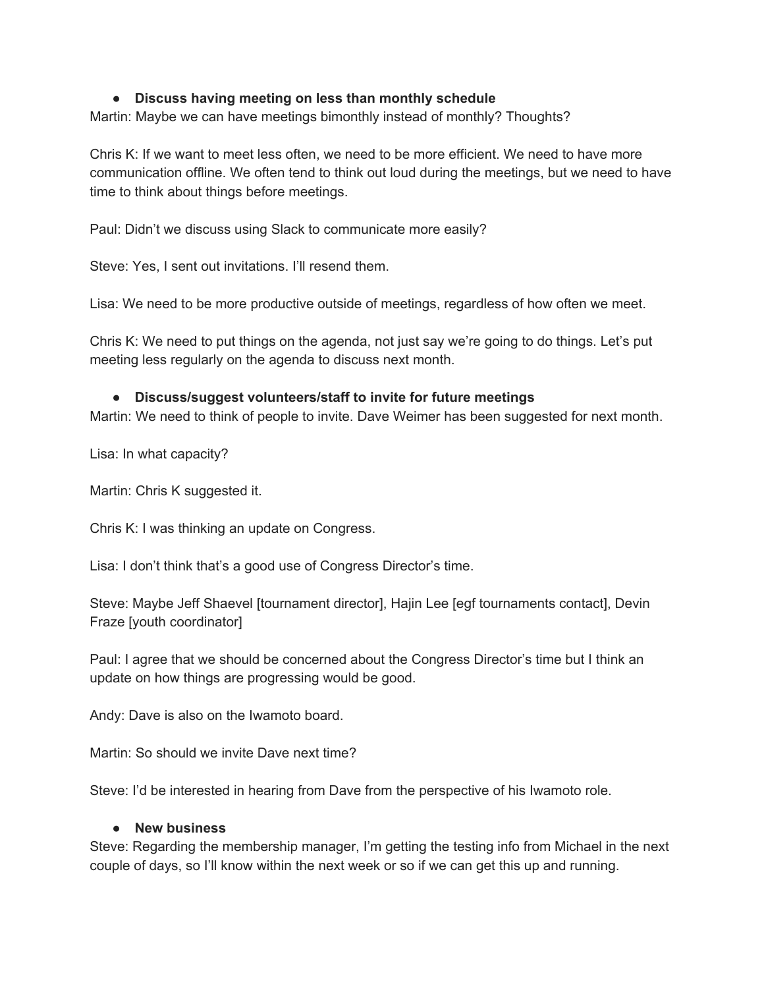### **● Discuss having meeting on less than monthly schedule**

Martin: Maybe we can have meetings bimonthly instead of monthly? Thoughts?

Chris K: If we want to meet less often, we need to be more efficient. We need to have more communication offline. We often tend to think out loud during the meetings, but we need to have time to think about things before meetings.

Paul: Didn't we discuss using Slack to communicate more easily?

Steve: Yes, I sent out invitations. I'll resend them.

Lisa: We need to be more productive outside of meetings, regardless of how often we meet.

Chris K: We need to put things on the agenda, not just say we're going to do things. Let's put meeting less regularly on the agenda to discuss next month.

### **● Discuss/suggest volunteers/staff to invite for future meetings**

Martin: We need to think of people to invite. Dave Weimer has been suggested for next month.

Lisa: In what capacity?

Martin: Chris K suggested it.

Chris K: I was thinking an update on Congress.

Lisa: I don't think that's a good use of Congress Director's time.

Steve: Maybe Jeff Shaevel [tournament director], Hajin Lee [egf tournaments contact], Devin Fraze [youth coordinator]

Paul: I agree that we should be concerned about the Congress Director's time but I think an update on how things are progressing would be good.

Andy: Dave is also on the Iwamoto board.

Martin: So should we invite Dave next time?

Steve: I'd be interested in hearing from Dave from the perspective of his Iwamoto role.

#### **● New business**

Steve: Regarding the membership manager, I'm getting the testing info from Michael in the next couple of days, so I'll know within the next week or so if we can get this up and running.